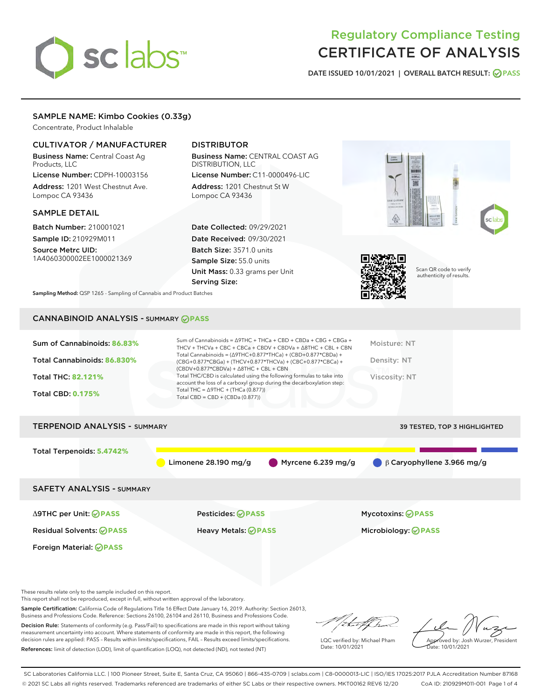# sclabs<sup>\*</sup>

# Regulatory Compliance Testing CERTIFICATE OF ANALYSIS

DATE ISSUED 10/01/2021 | OVERALL BATCH RESULT: @ PASS

# SAMPLE NAME: Kimbo Cookies (0.33g)

Concentrate, Product Inhalable

# CULTIVATOR / MANUFACTURER

Business Name: Central Coast Ag Products, LLC License Number: CDPH-10003156

Address: 1201 West Chestnut Ave. Lompoc CA 93436

# SAMPLE DETAIL

Batch Number: 210001021 Sample ID: 210929M011

Source Metrc UID: 1A4060300002EE1000021369

# DISTRIBUTOR

Business Name: CENTRAL COAST AG DISTRIBUTION, LLC License Number: C11-0000496-LIC

Address: 1201 Chestnut St W Lompoc CA 93436

Date Collected: 09/29/2021 Date Received: 09/30/2021 Batch Size: 3571.0 units Sample Size: 55.0 units Unit Mass: 0.33 grams per Unit Serving Size:





Scan QR code to verify authenticity of results.

Sampling Method: QSP 1265 - Sampling of Cannabis and Product Batches

# CANNABINOID ANALYSIS - SUMMARY **PASS**

| Sum of Cannabinoids: 86.83%<br>Total Cannabinoids: 86.830%<br><b>Total THC: 82.121%</b><br><b>Total CBD: 0.175%</b> | Sum of Cannabinoids = $\triangle$ 9THC + THCa + CBD + CBDa + CBG + CBGa +<br>THCV + THCVa + CBC + CBCa + CBDV + CBDVa + $\Delta$ 8THC + CBL + CBN<br>Total Cannabinoids = $(\Delta$ 9THC+0.877*THCa) + (CBD+0.877*CBDa) +<br>(CBG+0.877*CBGa) + (THCV+0.877*THCVa) + (CBC+0.877*CBCa) +<br>$(CBDV+0.877*CBDVa) + \Delta 8THC + CBL + CBN$<br>Total THC/CBD is calculated using the following formulas to take into<br>account the loss of a carboxyl group during the decarboxylation step:<br>Total THC = $\triangle$ 9THC + (THCa (0.877))<br>Total CBD = CBD + (CBDa (0.877)) | Moisture: NT<br>Density: NT<br>Viscosity: NT             |
|---------------------------------------------------------------------------------------------------------------------|----------------------------------------------------------------------------------------------------------------------------------------------------------------------------------------------------------------------------------------------------------------------------------------------------------------------------------------------------------------------------------------------------------------------------------------------------------------------------------------------------------------------------------------------------------------------------------|----------------------------------------------------------|
|                                                                                                                     |                                                                                                                                                                                                                                                                                                                                                                                                                                                                                                                                                                                  |                                                          |
| <b>TERPENOID ANALYSIS - SUMMARY</b>                                                                                 |                                                                                                                                                                                                                                                                                                                                                                                                                                                                                                                                                                                  | 39 TESTED, TOP 3 HIGHLIGHTED                             |
| Total Terpenoids: 5.4742%                                                                                           | Limonene 28.190 mg/g                                                                                                                                                                                                                                                                                                                                                                                                                                                                                                                                                             | Myrcene $6.239$ mg/g<br>$\beta$ Caryophyllene 3.966 mg/g |
| <b>SAFETY ANALYSIS - SUMMARY</b>                                                                                    |                                                                                                                                                                                                                                                                                                                                                                                                                                                                                                                                                                                  |                                                          |
| ∆9THC per Unit: ⊘PASS                                                                                               | Pesticides: ⊘PASS                                                                                                                                                                                                                                                                                                                                                                                                                                                                                                                                                                | <b>Mycotoxins: ⊘PASS</b>                                 |
| <b>Residual Solvents: ⊘PASS</b>                                                                                     | Heavy Metals: <b>OPASS</b>                                                                                                                                                                                                                                                                                                                                                                                                                                                                                                                                                       | Microbiology: <b>OPASS</b>                               |
| Foreign Material: <b>⊘ PASS</b>                                                                                     |                                                                                                                                                                                                                                                                                                                                                                                                                                                                                                                                                                                  |                                                          |

These results relate only to the sample included on this report.

This report shall not be reproduced, except in full, without written approval of the laboratory.

Sample Certification: California Code of Regulations Title 16 Effect Date January 16, 2019. Authority: Section 26013, Business and Professions Code. Reference: Sections 26100, 26104 and 26110, Business and Professions Code.

Decision Rule: Statements of conformity (e.g. Pass/Fail) to specifications are made in this report without taking measurement uncertainty into account. Where statements of conformity are made in this report, the following decision rules are applied: PASS – Results within limits/specifications, FAIL – Results exceed limits/specifications. References: limit of detection (LOD), limit of quantification (LOQ), not detected (ND), not tested (NT)

/that f ha

LQC verified by: Michael Pham Date: 10/01/2021

Approved by: Josh Wurzer, President Date: 10/01/2021

SC Laboratories California LLC. | 100 Pioneer Street, Suite E, Santa Cruz, CA 95060 | 866-435-0709 | sclabs.com | C8-0000013-LIC | ISO/IES 17025:2017 PJLA Accreditation Number 87168 © 2021 SC Labs all rights reserved. Trademarks referenced are trademarks of either SC Labs or their respective owners. MKT00162 REV6 12/20 CoA ID: 210929M011-001 Page 1 of 4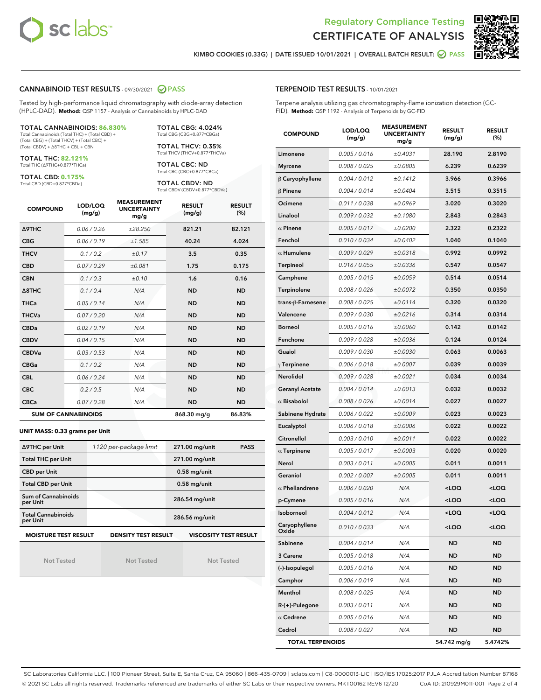



KIMBO COOKIES (0.33G) | DATE ISSUED 10/01/2021 | OVERALL BATCH RESULT: @ PASS

# CANNABINOID TEST RESULTS - 09/30/2021 @ PASS

Tested by high-performance liquid chromatography with diode-array detection (HPLC-DAD). **Method:** QSP 1157 - Analysis of Cannabinoids by HPLC-DAD

#### TOTAL CANNABINOIDS: **86.830%**

Total Cannabinoids (Total THC) + (Total CBD) + (Total CBG) + (Total THCV) + (Total CBC) + (Total CBDV) + ∆8THC + CBL + CBN

TOTAL THC: **82.121%** Total THC (∆9THC+0.877\*THCa)

TOTAL CBD: **0.175%** Total CBD (CBD+0.877\*CBDa)

TOTAL THCV: 0.35% Total THCV (THCV+0.877\*THCVa)

> TOTAL CBC: ND Total CBC (CBC+0.877\*CBCa)

TOTAL CBG: 4.024% Total CBG (CBG+0.877\*CBGa)

TOTAL CBDV: ND Total CBDV (CBDV+0.877\*CBDVa)

| <b>COMPOUND</b>  | LOD/LOQ<br>(mg/g)          | <b>MEASUREMENT</b><br><b>UNCERTAINTY</b><br>mg/g | <b>RESULT</b><br>(mg/g) | <b>RESULT</b><br>(%) |
|------------------|----------------------------|--------------------------------------------------|-------------------------|----------------------|
| <b>A9THC</b>     | 0.06 / 0.26                | ±28.250                                          | 821.21                  | 82.121               |
| <b>CBG</b>       | 0.06/0.19                  | ±1.585                                           | 40.24                   | 4.024                |
| <b>THCV</b>      | 0.1 / 0.2                  | ±0.17                                            | 3.5                     | 0.35                 |
| <b>CBD</b>       | 0.07/0.29                  | ±0.081                                           | 1.75                    | 0.175                |
| <b>CBN</b>       | 0.1 / 0.3                  | ±0.10                                            | 1.6                     | 0.16                 |
| $\triangle$ 8THC | 0.1 / 0.4                  | N/A                                              | <b>ND</b>               | <b>ND</b>            |
| <b>THCa</b>      | 0.05/0.14                  | N/A                                              | <b>ND</b>               | <b>ND</b>            |
| <b>THCVa</b>     | 0.07/0.20                  | N/A                                              | <b>ND</b>               | <b>ND</b>            |
| <b>CBDa</b>      | 0.02/0.19                  | N/A                                              | <b>ND</b>               | <b>ND</b>            |
| <b>CBDV</b>      | 0.04 / 0.15                | N/A                                              | <b>ND</b>               | <b>ND</b>            |
| <b>CBDVa</b>     | 0.03/0.53                  | N/A                                              | <b>ND</b>               | <b>ND</b>            |
| <b>CBGa</b>      | 0.1 / 0.2                  | N/A                                              | <b>ND</b>               | <b>ND</b>            |
| <b>CBL</b>       | 0.06 / 0.24                | N/A                                              | <b>ND</b>               | <b>ND</b>            |
| <b>CBC</b>       | 0.2 / 0.5                  | N/A                                              | <b>ND</b>               | <b>ND</b>            |
| <b>CBCa</b>      | 0.07/0.28                  | N/A                                              | <b>ND</b>               | <b>ND</b>            |
|                  | <b>SUM OF CANNABINOIDS</b> |                                                  | 868.30 mg/g             | 86.83%               |

#### **UNIT MASS: 0.33 grams per Unit**

| ∆9THC per Unit                        | 1120 per-package limit     | 271.00 mg/unit<br><b>PASS</b> |
|---------------------------------------|----------------------------|-------------------------------|
| <b>Total THC per Unit</b>             |                            | 271.00 mg/unit                |
| <b>CBD per Unit</b>                   |                            | $0.58$ mg/unit                |
| <b>Total CBD per Unit</b>             |                            | $0.58$ mg/unit                |
| Sum of Cannabinoids<br>per Unit       |                            | 286.54 mg/unit                |
| <b>Total Cannabinoids</b><br>per Unit |                            | 286.56 mg/unit                |
| <b>MOISTURE TEST RESULT</b>           | <b>DENSITY TEST RESULT</b> | <b>VISCOSITY TEST RESULT</b>  |

Not Tested

Not Tested

Not Tested

| <b>TERPENOID TEST RESULTS - 10/01/2021</b> |  |  |
|--------------------------------------------|--|--|
|                                            |  |  |

Terpene analysis utilizing gas chromatography-flame ionization detection (GC-FID). **Method:** QSP 1192 - Analysis of Terpenoids by GC-FID

| <b>COMPOUND</b>         | LOD/LOQ<br>(mg/g) | <b>MEASUREMENT</b><br><b>UNCERTAINTY</b><br>mg/g | <b>RESULT</b><br>(mg/g)                         | <b>RESULT</b><br>$(\%)$ |
|-------------------------|-------------------|--------------------------------------------------|-------------------------------------------------|-------------------------|
| Limonene                | 0.005 / 0.016     | ±0.4031                                          | 28.190                                          | 2.8190                  |
| <b>Myrcene</b>          | 0.008 / 0.025     | ±0.0805                                          | 6.239                                           | 0.6239                  |
| $\beta$ Caryophyllene   | 0.004 / 0.012     | ±0.1412                                          | 3.966                                           | 0.3966                  |
| $\beta$ Pinene          | 0.004 / 0.014     | ±0.0404                                          | 3.515                                           | 0.3515                  |
| Ocimene                 | 0.011 / 0.038     | ±0.0969                                          | 3.020                                           | 0.3020                  |
| Linalool                | 0.009 / 0.032     | ±0.1080                                          | 2.843                                           | 0.2843                  |
| $\alpha$ Pinene         | 0.005 / 0.017     | ±0.0200                                          | 2.322                                           | 0.2322                  |
| Fenchol                 | 0.010 / 0.034     | ±0.0402                                          | 1.040                                           | 0.1040                  |
| $\alpha$ Humulene       | 0.009 / 0.029     | ±0.0318                                          | 0.992                                           | 0.0992                  |
| Terpineol               | 0.016 / 0.055     | ±0.0336                                          | 0.547                                           | 0.0547                  |
| Camphene                | 0.005 / 0.015     | ±0.0059                                          | 0.514                                           | 0.0514                  |
| Terpinolene             | 0.008 / 0.026     | ±0.0072                                          | 0.350                                           | 0.0350                  |
| trans-ß-Farnesene       | 0.008 / 0.025     | ±0.0114                                          | 0.320                                           | 0.0320                  |
| Valencene               | 0.009 / 0.030     | ±0.0216                                          | 0.314                                           | 0.0314                  |
| <b>Borneol</b>          | 0.005 / 0.016     | ±0.0060                                          | 0.142                                           | 0.0142                  |
| Fenchone                | 0.009 / 0.028     | ±0.0036                                          | 0.124                                           | 0.0124                  |
| Guaiol                  | 0.009 / 0.030     | ±0.0030                                          | 0.063                                           | 0.0063                  |
| $\gamma$ Terpinene      | 0.006 / 0.018     | ±0.0007                                          | 0.039                                           | 0.0039                  |
| <b>Nerolidol</b>        | 0.009 / 0.028     | ±0.0021                                          | 0.034                                           | 0.0034                  |
| <b>Geranyl Acetate</b>  | 0.004 / 0.014     | ±0.0013                                          | 0.032                                           | 0.0032                  |
| $\alpha$ Bisabolol      | 0.008 / 0.026     | ±0.0014                                          | 0.027                                           | 0.0027                  |
| Sabinene Hydrate        | 0.006 / 0.022     | ±0.0009                                          | 0.023                                           | 0.0023                  |
| Eucalyptol              | 0.006 / 0.018     | ±0.0006                                          | 0.022                                           | 0.0022                  |
| Citronellol             | 0.003 / 0.010     | ±0.0011                                          | 0.022                                           | 0.0022                  |
| $\alpha$ Terpinene      | 0.005 / 0.017     | ±0.0003                                          | 0.020                                           | 0.0020                  |
| Nerol                   | 0.003 / 0.011     | ±0.0005                                          | 0.011                                           | 0.0011                  |
| Geraniol                | 0.002 / 0.007     | ±0.0005                                          | 0.011                                           | 0.0011                  |
| $\alpha$ Phellandrene   | 0.006 / 0.020     | N/A                                              | <loq< th=""><th><loq< th=""></loq<></th></loq<> | <loq< th=""></loq<>     |
| p-Cymene                | 0.005 / 0.016     | N/A                                              | <loq< th=""><th><loq< th=""></loq<></th></loq<> | <loq< th=""></loq<>     |
| <b>Isoborneol</b>       | 0.004 / 0.012     | N/A                                              | <loq< th=""><th><loq< th=""></loq<></th></loq<> | <loq< th=""></loq<>     |
| Caryophyllene<br>Oxide  | 0.010 / 0.033     | N/A                                              | <loq< th=""><th><loq< th=""></loq<></th></loq<> | <loq< th=""></loq<>     |
| Sabinene                | 0.004 / 0.014     | N/A                                              | ND                                              | <b>ND</b>               |
| 3 Carene                | 0.005 / 0.018     | N/A                                              | ND                                              | <b>ND</b>               |
| (-)-Isopulegol          | 0.005 / 0.016     | N/A                                              | ND                                              | <b>ND</b>               |
| Camphor                 | 0.006 / 0.019     | N/A                                              | ND                                              | <b>ND</b>               |
| Menthol                 | 0.008 / 0.025     | N/A                                              | ND                                              | <b>ND</b>               |
| R-(+)-Pulegone          | 0.003 / 0.011     | N/A                                              | ND                                              | <b>ND</b>               |
| $\alpha$ Cedrene        | 0.005 / 0.016     | N/A                                              | ND                                              | <b>ND</b>               |
| Cedrol                  | 0.008 / 0.027     | N/A                                              | ND                                              | <b>ND</b>               |
| <b>TOTAL TERPENOIDS</b> |                   |                                                  | 54.742 mg/g                                     | 5.4742%                 |

SC Laboratories California LLC. | 100 Pioneer Street, Suite E, Santa Cruz, CA 95060 | 866-435-0709 | sclabs.com | C8-0000013-LIC | ISO/IES 17025:2017 PJLA Accreditation Number 87168 © 2021 SC Labs all rights reserved. Trademarks referenced are trademarks of either SC Labs or their respective owners. MKT00162 REV6 12/20 CoA ID: 210929M011-001 Page 2 of 4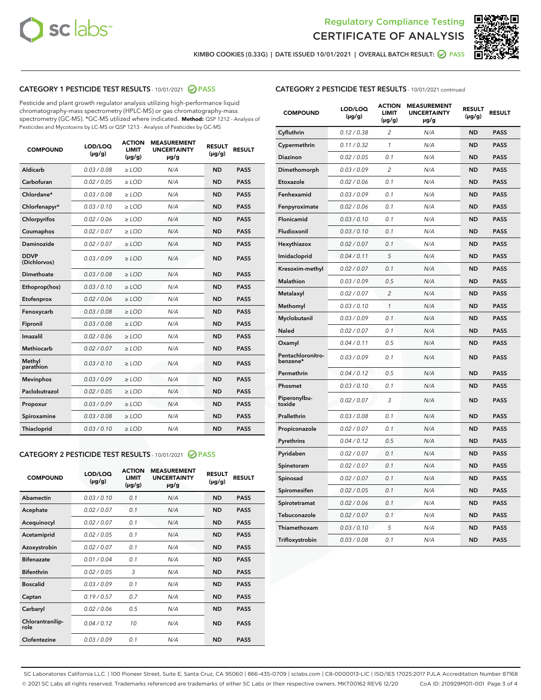



KIMBO COOKIES (0.33G) | DATE ISSUED 10/01/2021 | OVERALL BATCH RESULT: 2 PASS

# CATEGORY 1 PESTICIDE TEST RESULTS - 10/01/2021 2 PASS

Pesticide and plant growth regulator analysis utilizing high-performance liquid chromatography-mass spectrometry (HPLC-MS) or gas chromatography-mass spectrometry (GC-MS). \*GC-MS utilized where indicated. **Method:** QSP 1212 - Analysis of Pesticides and Mycotoxins by LC-MS or QSP 1213 - Analysis of Pesticides by GC-MS

| <b>COMPOUND</b>             | LOD/LOQ<br>$(\mu g/g)$ | <b>ACTION</b><br><b>LIMIT</b><br>$(\mu g/g)$ | <b>MEASUREMENT</b><br><b>UNCERTAINTY</b><br>µg/g | <b>RESULT</b><br>$(\mu g/g)$ | <b>RESULT</b> |
|-----------------------------|------------------------|----------------------------------------------|--------------------------------------------------|------------------------------|---------------|
| Aldicarb                    | 0.03/0.08              | $>$ LOD                                      | N/A                                              | <b>ND</b>                    | <b>PASS</b>   |
| Carbofuran                  | 0.02 / 0.05            | $\ge$ LOD                                    | N/A                                              | <b>ND</b>                    | <b>PASS</b>   |
| Chlordane*                  | 0.03/0.08              | $>$ LOD                                      | N/A                                              | <b>ND</b>                    | <b>PASS</b>   |
| Chlorfenapyr*               | 0.03 / 0.10            | $\ge$ LOD                                    | N/A                                              | <b>ND</b>                    | <b>PASS</b>   |
| Chlorpyrifos                | 0.02 / 0.06            | $\ge$ LOD                                    | N/A                                              | <b>ND</b>                    | <b>PASS</b>   |
| Coumaphos                   | 0.02 / 0.07            | $\ge$ LOD                                    | N/A                                              | <b>ND</b>                    | <b>PASS</b>   |
| Daminozide                  | 0.02 / 0.07            | $\ge$ LOD                                    | N/A                                              | <b>ND</b>                    | <b>PASS</b>   |
| <b>DDVP</b><br>(Dichlorvos) | 0.03/0.09              | $\ge$ LOD                                    | N/A                                              | <b>ND</b>                    | <b>PASS</b>   |
| <b>Dimethoate</b>           | 0.03 / 0.08            | $\ge$ LOD                                    | N/A                                              | <b>ND</b>                    | <b>PASS</b>   |
| Ethoprop(hos)               | 0.03/0.10              | $\ge$ LOD                                    | N/A                                              | <b>ND</b>                    | <b>PASS</b>   |
| Etofenprox                  | 0.02 / 0.06            | $\ge$ LOD                                    | N/A                                              | <b>ND</b>                    | <b>PASS</b>   |
| Fenoxycarb                  | 0.03 / 0.08            | $\ge$ LOD                                    | N/A                                              | <b>ND</b>                    | <b>PASS</b>   |
| Fipronil                    | 0.03/0.08              | $>$ LOD                                      | N/A                                              | <b>ND</b>                    | <b>PASS</b>   |
| Imazalil                    | 0.02 / 0.06            | $\ge$ LOD                                    | N/A                                              | <b>ND</b>                    | <b>PASS</b>   |
| Methiocarb                  | 0.02 / 0.07            | $\ge$ LOD                                    | N/A                                              | <b>ND</b>                    | <b>PASS</b>   |
| Methyl<br>parathion         | 0.03/0.10              | $\ge$ LOD                                    | N/A                                              | <b>ND</b>                    | <b>PASS</b>   |
| <b>Mevinphos</b>            | 0.03/0.09              | $\ge$ LOD                                    | N/A                                              | <b>ND</b>                    | <b>PASS</b>   |
| Paclobutrazol               | 0.02 / 0.05            | $>$ LOD                                      | N/A                                              | <b>ND</b>                    | <b>PASS</b>   |
| Propoxur                    | 0.03/0.09              | $\ge$ LOD                                    | N/A                                              | <b>ND</b>                    | <b>PASS</b>   |
| Spiroxamine                 | 0.03 / 0.08            | $\ge$ LOD                                    | N/A                                              | <b>ND</b>                    | <b>PASS</b>   |
| Thiacloprid                 | 0.03/0.10              | $\ge$ LOD                                    | N/A                                              | <b>ND</b>                    | <b>PASS</b>   |

#### CATEGORY 2 PESTICIDE TEST RESULTS - 10/01/2021 @ PASS

| <b>COMPOUND</b>          | LOD/LOO<br>$(\mu g/g)$ | <b>ACTION</b><br>LIMIT<br>$(\mu g/g)$ | <b>MEASUREMENT</b><br><b>UNCERTAINTY</b><br>$\mu$ g/g | <b>RESULT</b><br>$(\mu g/g)$ | <b>RESULT</b> |
|--------------------------|------------------------|---------------------------------------|-------------------------------------------------------|------------------------------|---------------|
| Abamectin                | 0.03/0.10              | 0.1                                   | N/A                                                   | <b>ND</b>                    | <b>PASS</b>   |
| Acephate                 | 0.02/0.07              | 0.1                                   | N/A                                                   | <b>ND</b>                    | <b>PASS</b>   |
| Acequinocyl              | 0.02/0.07              | 0.1                                   | N/A                                                   | <b>ND</b>                    | <b>PASS</b>   |
| Acetamiprid              | 0.02/0.05              | 0.1                                   | N/A                                                   | <b>ND</b>                    | <b>PASS</b>   |
| Azoxystrobin             | 0.02/0.07              | 0.1                                   | N/A                                                   | <b>ND</b>                    | <b>PASS</b>   |
| <b>Bifenazate</b>        | 0.01/0.04              | 0.1                                   | N/A                                                   | <b>ND</b>                    | <b>PASS</b>   |
| <b>Bifenthrin</b>        | 0.02 / 0.05            | 3                                     | N/A                                                   | <b>ND</b>                    | <b>PASS</b>   |
| <b>Boscalid</b>          | 0.03/0.09              | 0.1                                   | N/A                                                   | <b>ND</b>                    | <b>PASS</b>   |
| Captan                   | 0.19/0.57              | 0.7                                   | N/A                                                   | <b>ND</b>                    | <b>PASS</b>   |
| Carbaryl                 | 0.02/0.06              | 0.5                                   | N/A                                                   | <b>ND</b>                    | <b>PASS</b>   |
| Chlorantranilip-<br>role | 0.04/0.12              | 10                                    | N/A                                                   | <b>ND</b>                    | <b>PASS</b>   |
| Clofentezine             | 0.03/0.09              | 0.1                                   | N/A                                                   | <b>ND</b>                    | <b>PASS</b>   |

| <b>CATEGORY 2 PESTICIDE TEST RESULTS</b> - 10/01/2021 continued |  |
|-----------------------------------------------------------------|--|
|                                                                 |  |

| <b>COMPOUND</b>               | LOD/LOQ<br>(µg/g) | <b>ACTION</b><br><b>LIMIT</b><br>(µg/g) | <b>MEASUREMENT</b><br><b>UNCERTAINTY</b><br>µg/g | <b>RESULT</b><br>(µg/g) | <b>RESULT</b> |
|-------------------------------|-------------------|-----------------------------------------|--------------------------------------------------|-------------------------|---------------|
| Cyfluthrin                    | 0.12 / 0.38       | $\overline{c}$                          | N/A                                              | <b>ND</b>               | <b>PASS</b>   |
| Cypermethrin                  | 0.11/0.32         | $\mathcal{I}$                           | N/A                                              | <b>ND</b>               | <b>PASS</b>   |
| <b>Diazinon</b>               | 0.02 / 0.05       | 0.1                                     | N/A                                              | <b>ND</b>               | <b>PASS</b>   |
| Dimethomorph                  | 0.03 / 0.09       | 2                                       | N/A                                              | <b>ND</b>               | <b>PASS</b>   |
| Etoxazole                     | 0.02 / 0.06       | 0.1                                     | N/A                                              | <b>ND</b>               | <b>PASS</b>   |
| Fenhexamid                    | 0.03 / 0.09       | 0.1                                     | N/A                                              | <b>ND</b>               | <b>PASS</b>   |
| Fenpyroximate                 | 0.02 / 0.06       | 0.1                                     | N/A                                              | <b>ND</b>               | <b>PASS</b>   |
| Flonicamid                    | 0.03 / 0.10       | 0.1                                     | N/A                                              | <b>ND</b>               | <b>PASS</b>   |
| Fludioxonil                   | 0.03/0.10         | 0.1                                     | N/A                                              | <b>ND</b>               | <b>PASS</b>   |
| Hexythiazox                   | 0.02 / 0.07       | 0.1                                     | N/A                                              | <b>ND</b>               | <b>PASS</b>   |
| Imidacloprid                  | 0.04 / 0.11       | 5                                       | N/A                                              | <b>ND</b>               | <b>PASS</b>   |
| Kresoxim-methyl               | 0.02 / 0.07       | 0.1                                     | N/A                                              | <b>ND</b>               | <b>PASS</b>   |
| <b>Malathion</b>              | 0.03 / 0.09       | 0.5                                     | N/A                                              | <b>ND</b>               | <b>PASS</b>   |
| Metalaxyl                     | 0.02 / 0.07       | $\overline{c}$                          | N/A                                              | <b>ND</b>               | <b>PASS</b>   |
| Methomyl                      | 0.03 / 0.10       | $\mathcal{I}$                           | N/A                                              | <b>ND</b>               | <b>PASS</b>   |
| Myclobutanil                  | 0.03 / 0.09       | 0.1                                     | N/A                                              | <b>ND</b>               | <b>PASS</b>   |
| Naled                         | 0.02 / 0.07       | 0.1                                     | N/A                                              | <b>ND</b>               | <b>PASS</b>   |
| Oxamyl                        | 0.04 / 0.11       | 0.5                                     | N/A                                              | <b>ND</b>               | <b>PASS</b>   |
| Pentachloronitro-<br>benzene* | 0.03 / 0.09       | 0.1                                     | N/A                                              | <b>ND</b>               | <b>PASS</b>   |
| Permethrin                    | 0.04 / 0.12       | 0.5                                     | N/A                                              | <b>ND</b>               | <b>PASS</b>   |
| Phosmet                       | 0.03 / 0.10       | 0.1                                     | N/A                                              | <b>ND</b>               | <b>PASS</b>   |
| Piperonylbu-<br>toxide        | 0.02 / 0.07       | 3                                       | N/A                                              | <b>ND</b>               | <b>PASS</b>   |
| Prallethrin                   | 0.03 / 0.08       | 0.1                                     | N/A                                              | <b>ND</b>               | <b>PASS</b>   |
| Propiconazole                 | 0.02 / 0.07       | 0.1                                     | N/A                                              | <b>ND</b>               | <b>PASS</b>   |
| Pyrethrins                    | 0.04 / 0.12       | 0.5                                     | N/A                                              | <b>ND</b>               | <b>PASS</b>   |
| Pyridaben                     | 0.02 / 0.07       | 0.1                                     | N/A                                              | <b>ND</b>               | <b>PASS</b>   |
| Spinetoram                    | 0.02 / 0.07       | 0.1                                     | N/A                                              | <b>ND</b>               | <b>PASS</b>   |
| Spinosad                      | 0.02 / 0.07       | 0.1                                     | N/A                                              | <b>ND</b>               | <b>PASS</b>   |
| Spiromesifen                  | 0.02 / 0.05       | 0.1                                     | N/A                                              | <b>ND</b>               | <b>PASS</b>   |
| Spirotetramat                 | 0.02 / 0.06       | 0.1                                     | N/A                                              | <b>ND</b>               | <b>PASS</b>   |
| Tebuconazole                  | 0.02 / 0.07       | 0.1                                     | N/A                                              | <b>ND</b>               | <b>PASS</b>   |
| Thiamethoxam                  | 0.03 / 0.10       | 5                                       | N/A                                              | <b>ND</b>               | <b>PASS</b>   |
| Trifloxystrobin               | 0.03 / 0.08       | 0.1                                     | N/A                                              | ND                      | <b>PASS</b>   |

SC Laboratories California LLC. | 100 Pioneer Street, Suite E, Santa Cruz, CA 95060 | 866-435-0709 | sclabs.com | C8-0000013-LIC | ISO/IES 17025:2017 PJLA Accreditation Number 87168 © 2021 SC Labs all rights reserved. Trademarks referenced are trademarks of either SC Labs or their respective owners. MKT00162 REV6 12/20 CoA ID: 210929M011-001 Page 3 of 4